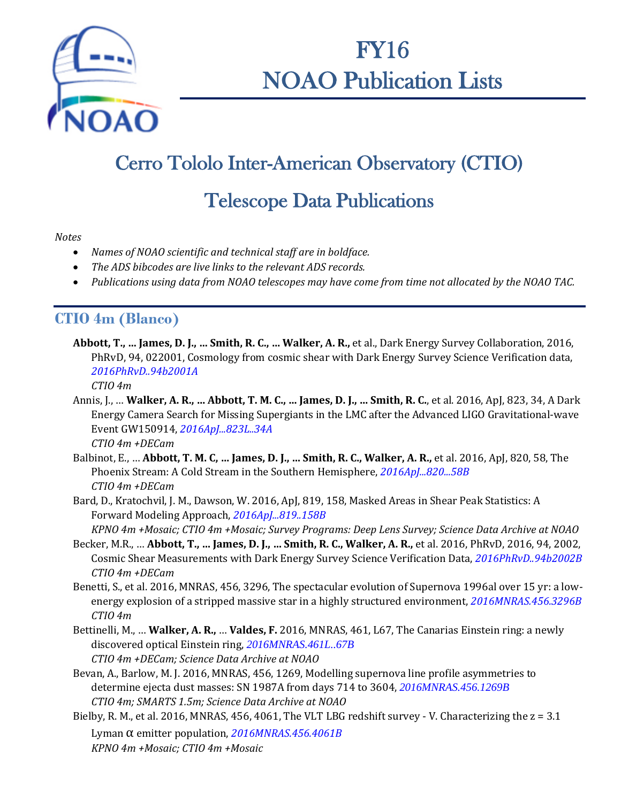

FY16 NOAO Publication Lists

# Cerro Tololo Inter-American Observatory (CTIO)

## Telescope Data Publications

#### *Notes*

- *Names of NOAO scientific and technical staff are in boldface.*
- *The ADS bibcodes are live links to the relevant ADS records.*
- *Publications using data from NOAO telescopes may have come from time not allocated by the NOAO TAC.*

### **CTIO 4m (Blanco)**

**Abbott, T., … James, D. J., … Smith, R. C., … Walker, A. R.,** et al., Dark Energy Survey Collaboration, 2016, PhRvD, 94, 022001, Cosmology from cosmic shear with Dark Energy Survey Science Verification data, *[2016PhRvD..94b2001A](http://adsabs.harvard.edu/abs/2016PhRvD..94b2001A)*

*CTIO 4m*

- Annis, J., … **Walker, A. R., … Abbott, T. M. C., … James, D. J., … Smith, R. C.**, et al. 2016, ApJ, 823, 34, A Dark Energy Camera Search for Missing Supergiants in the LMC after the Advanced LIGO Gravitational-wave Event GW150914, *[2016ApJ...823L..34A](http://adsabs.harvard.edu/abs/2016ApJ...823L..34A) CTIO 4m +DECam*
- Balbinot, E., … **Abbott, T. M. C, … James, D. J., … Smith, R. C., Walker, A. R.,** et al. 2016, ApJ, 820, 58, The Phoenix Stream: A Cold Stream in the Southern Hemisphere, *[2016ApJ...820...58B](http://adsabs.harvard.edu/abs/2016ApJ...820...58B) CTIO 4m +DECam*
- Bard, D., Kratochvil, J. M., Dawson, W. 2016, ApJ, 819, 158, Masked Areas in Shear Peak Statistics: A Forward Modeling Approach, *[2016ApJ...819..158B](http://adsabs.harvard.edu/abs/2016ApJ...819..158B)*
- *KPNO 4m +Mosaic; CTIO 4m +Mosaic; Survey Programs: Deep Lens Survey; Science Data Archive at NOAO* Becker, M.R., … **Abbott, T., … James, D. J., … Smith, R. C., Walker, A. R.,** et al. 2016, PhRvD, 2016, 94, 2002, Cosmic Shear Measurements with Dark Energy Survey Science Verification Data, *[2016PhRvD..94b2002B](http://adsabs.harvard.edu/abs/2016PhRvD..94b2002B) CTIO 4m +DECam*
- Benetti, S., et al. 2016, MNRAS, 456, 3296, The spectacular evolution of Supernova 1996al over 15 yr: a lowenergy explosion of a stripped massive star in a highly structured environment, *[2016MNRAS.456.3296B](http://adsabs.harvard.edu/abs/2016MNRAS.456.3296B) CTIO 4m*
- Bettinelli, M., … **Walker, A. R.,** … **Valdes, F.** 2016, MNRAS, 461, L67, The Canarias Einstein ring: a newly discovered optical Einstein ring, *[2016MNRAS.461L..67B](http://adsabs.harvard.edu/abs/2016MNRAS.461L..67B) CTIO 4m +DECam; Science Data Archive at NOAO*
- Bevan, A., Barlow, M. J. 2016, MNRAS, 456, 1269, Modelling supernova line profile asymmetries to determine ejecta dust masses: SN 1987A from days 714 to 3604, *[2016MNRAS.456.1269B](http://adsabs.harvard.edu/abs/2016MNRAS.456.1269B) CTIO 4m; SMARTS 1.5m; Science Data Archive at NOAO*
- Bielby, R. M., et al. 2016, MNRAS, 456, 4061, The VLT LBG redshift survey V. Characterizing the z = 3.1 Lyman α emitter population, *[2016MNRAS.456.4061B](http://adsabs.harvard.edu/abs/2016MNRAS.456.4061B) KPNO 4m +Mosaic; CTIO 4m +Mosaic*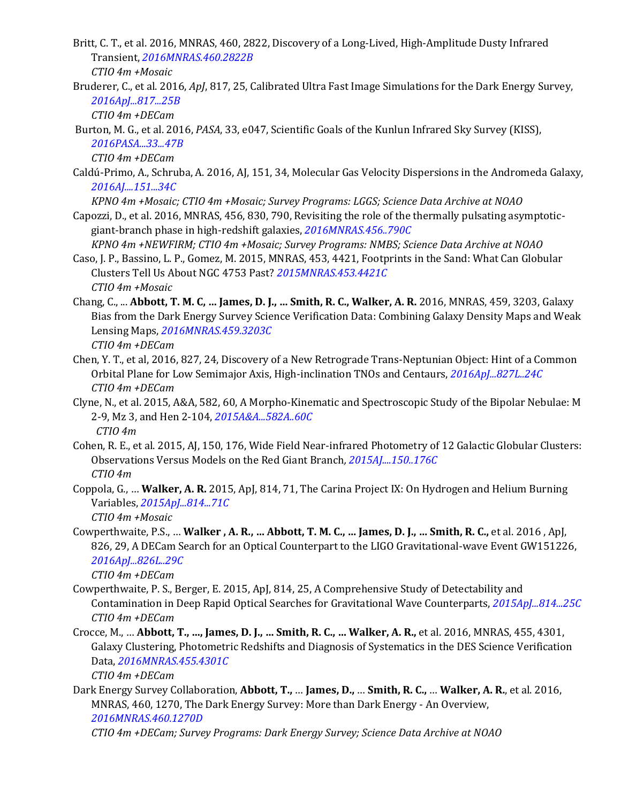Britt, C. T., et al. 2016, MNRAS, 460, 2822, Discovery of a Long-Lived, High-Amplitude Dusty Infrared Transient, *[2016MNRAS.460.2822B](http://adsabs.harvard.edu/abs/2016MNRAS.460.2822B)*

*CTIO 4m +Mosaic*

Bruderer, C., et al. 2016, *ApJ*, 817, 25, Calibrated Ultra Fast Image Simulations for the Dark Energy Survey, *[2016ApJ...817...25B](http://adsabs.harvard.edu/abs/2016ApJ...817...25B)*

*CTIO 4m +DECam*

Burton, M. G., et al. 2016, *PASA*, 33, e047, Scientific Goals of the Kunlun Infrared Sky Survey (KISS), *[2016PASA...33...47B](http://adsabs.harvard.edu/abs/2016PASA...33...47B)*

*CTIO 4m +DECam*

Caldú-Primo, A., Schruba, A. 2016, AJ, 151, 34, Molecular Gas Velocity Dispersions in the Andromeda Galaxy, *[2016AJ....151...34C](http://adsabs.harvard.edu/abs/2016AJ....151...34C)*

*KPNO 4m +Mosaic; CTIO 4m +Mosaic; Survey Programs: LGGS; Science Data Archive at NOAO*

Capozzi, D., et al. 2016, MNRAS, 456, 830, 790, Revisiting the role of the thermally pulsating asymptoticgiant-branch phase in high-redshift galaxies, *[2016MNRAS.456..790C](http://adsabs.harvard.edu/abs/2016MNRAS.456..790C)*

*KPNO 4m +NEWFIRM; CTIO 4m +Mosaic; Survey Programs: NMBS; Science Data Archive at NOAO*

- Caso, J. P., Bassino, L. P., Gomez, M. 2015, MNRAS, 453, 4421, Footprints in the Sand: What Can Globular Clusters Tell Us About NGC 4753 Past? *[2015MNRAS.453.4421C](http://adsabs.harvard.edu/abs/2015MNRAS.453.4421C) CTIO 4m +Mosaic*
- Chang, C., ... **Abbott, T. M. C, … James, D. J., … Smith, R. C., Walker, A. R.** 2016, MNRAS, 459, 3203, Galaxy Bias from the Dark Energy Survey Science Verification Data: Combining Galaxy Density Maps and Weak Lensing Maps, *[2016MNRAS.459.3203C](http://adsabs.harvard.edu/abs/2016MNRAS.459.3203C) CTIO 4m +DECam*
- Chen, Y. T., et al, 2016, 827, 24, Discovery of a New Retrograde Trans-Neptunian Object: Hint of a Common Orbital Plane for Low Semimajor Axis, High-inclination TNOs and Centaurs, *[2016ApJ...827L..24C](http://adsabs.harvard.edu/abs/2016ApJ...827L..24C) CTIO 4m +DECam*
- Clyne, N., et al. 2015, A&A, 582, 60, A Morpho-Kinematic and Spectroscopic Study of the Bipolar Nebulae: M 2-9, Mz 3, and Hen 2-104, *[2015A&A...582A..60C](http://adsabs.harvard.edu/abs/2015A%26A...582A..60C) CTIO 4m*
- Cohen, R. E., et al. 2015, AJ, 150, 176, Wide Field Near-infrared Photometry of 12 Galactic Globular Clusters: Observations Versus Models on the Red Giant Branch*, [2015AJ....150..176C](http://adsabs.harvard.edu/abs/2015AJ....150..176C) CTIO 4m*
- Coppola, G., … **Walker, A. R.** 2015, ApJ, 814, 71, The Carina Project IX: On Hydrogen and Helium Burning Variables, *[2015ApJ...814...71C](http://adsabs.harvard.edu/abs/2015ApJ...814...71C)*

*CTIO 4m +Mosaic*

Cowperthwaite, P.S., … **Walker , A. R., … Abbott, T. M. C., … James, D. J., … Smith, R. C.,** et al. 2016 , ApJ, 826, 29, A DECam Search for an Optical Counterpart to the LIGO Gravitational-wave Event GW151226, *[2016ApJ...826L..29C](http://adsabs.harvard.edu/abs/2016ApJ...826L..29C)*

*CTIO 4m +DECam*

- Cowperthwaite, P. S., Berger, E. 2015, ApJ, 814, 25, A Comprehensive Study of Detectability and Contamination in Deep Rapid Optical Searches for Gravitational Wave Counterparts, *[2015ApJ...814...25C](http://adsabs.harvard.edu/abs/2015ApJ...814...25C) CTIO 4m +DECam*
- Crocce, M., … **Abbott, T., …, James, D. J., … Smith, R. C., … Walker, A. R.,** et al. 2016, MNRAS, 455, 4301, Galaxy Clustering, Photometric Redshifts and Diagnosis of Systematics in the DES Science Verification Data, *[2016MNRAS.455.4301C](http://adsabs.harvard.edu/abs/2016MNRAS.455.4301C)*

*CTIO 4m +DECam*

Dark Energy Survey Collaboration, **Abbott, T.,** … **James, D.,** … **Smith, R. C.,** … **Walker, A. R.**, et al. 2016, MNRAS, 460, 1270, The Dark Energy Survey: More than Dark Energy - An Overview, *[2016MNRAS.460.1270D](http://adsabs.harvard.edu/abs/2016MNRAS.460.1270D)*

*CTIO 4m +DECam; Survey Programs: Dark Energy Survey; Science Data Archive at NOAO*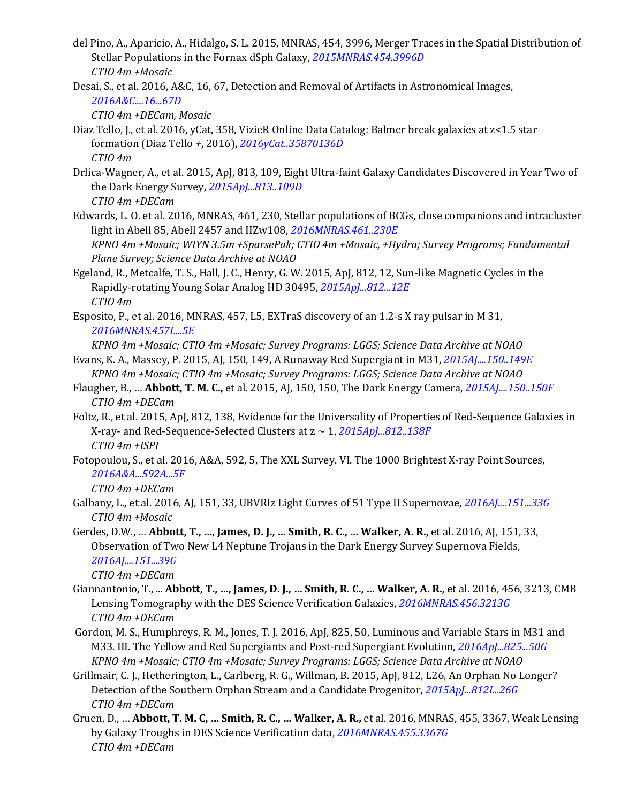- del Pino, A., Aparicio, A., Hidalgo, S. L. 2015, MNRAS, 454, 3996, Merger Traces in the Spatial Distribution of Stellar Populations in the Fornax dSph Galaxy, *[2015MNRAS.454.3996D](http://adsabs.harvard.edu/abs/2015MNRAS.454.3996D) CTIO 4m +Mosaic*
- Desai, S., et al. 2016, A&C, 16, 67, Detection and Removal of Artifacts in Astronomical Images, *[2016A&C....16...67D](http://adsabs.harvard.edu/abs/2016A%26C....16...67D)*

*CTIO 4m +DECam, Mosaic*

- Diaz Tello, J., et al. 2016, yCat, 358, VizieR Online Data Catalog: Balmer break galaxies at z<1.5 star formation (Diaz Tello *+*, 2016), *[2016yCat..35870136D](http://adsabs.harvard.edu/abs/2016yCat..35870136D) CTIO 4m*
- Drlica-Wagner, A., et al. 2015, ApJ, 813, 109, Eight Ultra-faint Galaxy Candidates Discovered in Year Two of the Dark Energy Survey, *[2015ApJ...813..109D](http://adsabs.harvard.edu/abs/2015ApJ...813..109D) CTIO 4m +DECam*
- Edwards, L. O. et al. 2016, MNRAS, 461, 230, Stellar populations of BCGs, close companions and intracluster light in Abell 85, Abell 2457 and IIZw108, *[2016MNRAS.461..230E](http://adsabs.harvard.edu/abs/2016MNRAS.461..230E) KPNO 4m +Mosaic; WIYN 3.5m +SparsePak; CTIO 4m +Mosaic, +Hydra; Survey Programs; Fundamental*
- *Plane Survey; Science Data Archive at NOAO* Egeland, R., Metcalfe, T. S., Hall, J. C., Henry, G. W. 2015, ApJ, 812, 12, Sun-like Magnetic Cycles in the
- Rapidly-rotating Young Solar Analog HD 30495, *[2015ApJ...812...12E](http://adsabs.harvard.edu/abs/2015ApJ...812...12E) CTIO 4m*
- Esposito, P., et al. 2016, MNRAS, 457, L5, EXTraS discovery of an 1.2-s X ray pulsar in M 31, *[2016MNRAS.457L...5E](http://adsabs.harvard.edu/abs/2016MNRAS.457L...5E)*

*KPNO 4m +Mosaic; CTIO 4m +Mosaic; Survey Programs: LGGS; Science Data Archive at NOAO*

- Evans, K. A., Massey, P. 2015, AJ, 150, 149, A Runaway Red Supergiant in M31, *[2015AJ....150..149E](http://adsabs.harvard.edu/abs/2015AJ....150..149E) KPNO 4m +Mosaic; CTIO 4m +Mosaic; Survey Programs: LGGS; Science Data Archive at NOAO*
- Flaugher, B., … **Abbott, T. M. C.,** et al. 2015, AJ, 150, 150, The Dark Energy Camera, *[2015AJ....150..150F](http://adsabs.harvard.edu/abs/2015AJ....150..150F) CTIO 4m +DECam*
- Foltz, R., et al. 2015, ApJ, 812, 138, Evidence for the Universality of Properties of Red-Sequence Galaxies in X-ray- and Red-Sequence-Selected Clusters at z ~ 1, *[2015ApJ...812..138F](http://adsabs.harvard.edu/abs/2015ApJ...812..138F) CTIO 4m +ISPI*
- Fotopoulou, S., et al. 2016, A&A, 592, 5, The XXL Survey. VI. The 1000 Brightest X-ray Point Sources, *[2016A&A...592A...5F](http://adsabs.harvard.edu/abs/2016A%26A...592A...5F)*

*CTIO 4m +DECam*

- Galbany, L., et al. 2016, AJ, 151, 33, UBVRIz Light Curves of 51 Type II Supernovae, *[2016AJ....151...33G](http://adsabs.harvard.edu/abs/2016AJ....151...33G) CTIO 4m +Mosaic*
- Gerdes, D.W., … **Abbott, T., …, James, D. J., … Smith, R. C., … Walker, A. R.,** et al. 2016, AJ, 151, 33, Observation of Two New L4 Neptune Trojans in the Dark Energy Survey Supernova Fields, *[2016AJ....151...39G](http://adsabs.harvard.edu/abs/2016AJ....151...39G)*

*CTIO 4m +DECam*

- Giannantonio, T., ... **Abbott, T., …, James, D. J., … Smith, R. C., … Walker, A. R.,** et al. 2016, 456, 3213, CMB Lensing Tomography with the DES Science Verification Galaxies, *[2016MNRAS.456.3213G](http://adsabs.harvard.edu/abs/2016MNRAS.456.3213G) CTIO 4m +DECam*
- Gordon, M. S., Humphreys, R. M., Jones, T. J. 2016, ApJ, 825, 50, Luminous and Variable Stars in M31 and M33. III. The Yellow and Red Supergiants and Post-red Supergiant Evolution, *[2016ApJ...825...50G](http://adsabs.harvard.edu/abs/2016ApJ...825...50G) KPNO 4m +Mosaic; CTIO 4m +Mosaic; Survey Programs: LGGS; Science Data Archive at NOAO*
- Grillmair, C. J., Hetherington, L., Carlberg, R. G., Willman, B. 2015, ApJ, 812, L26, An Orphan No Longer? Detection of the Southern Orphan Stream and a Candidate Progenitor, *[2015ApJ...812L..26G](http://adsabs.harvard.edu/abs/2015ApJ...812L..26G) CTIO 4m +DECam*
- Gruen, D., … **Abbott, T. M. C, … Smith, R. C., … Walker, A. R.,** et al. 2016, MNRAS, 455, 3367, Weak Lensing by Galaxy Troughs in DES Science Verification data, *[2016MNRAS.455.3367G](http://adsabs.harvard.edu/abs/2016MNRAS.455.3367G) CTIO 4m +DECam*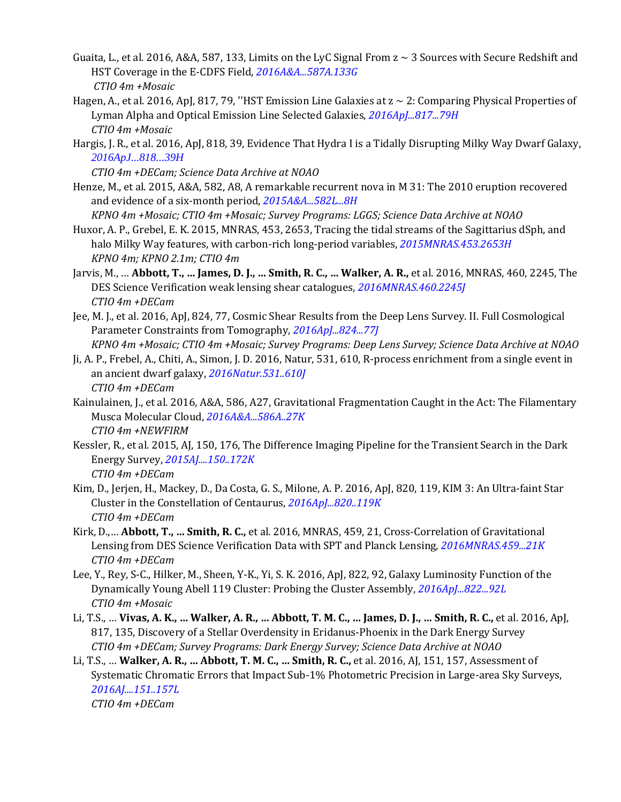- Guaita, L., et al. 2016, A&A, 587, 133, Limits on the LyC Signal From  $z \sim 3$  Sources with Secure Redshift and HST Coverage in the E-CDFS Field, *[2016A&A...587A.133G](http://adsabs.harvard.edu/abs/2016A%26A...587A.133G) CTIO 4m +Mosaic*
- Hagen, A., et al. 2016, ApJ, 817, 79, "HST Emission Line Galaxies at  $z \sim 2$ : Comparing Physical Properties of Lyman Alpha and Optical Emission Line Selected Galaxies, *[2016ApJ...817...79H](http://adsabs.harvard.edu/abs/2016ApJ...817...79H) CTIO 4m +Mosaic*
- Hargis, J. R., et al. 2016, ApJ, 818, 39, Evidence That Hydra I is a Tidally Disrupting Milky Way Dwarf Galaxy, *[2016ApJ...818...39H](http://adsabs.harvard.edu/abs/2016ApJ...818...39H)*

*CTIO 4m +DECam; Science Data Archive at NOAO*

Henze, M., et al. 2015, A&A, 582, A8, A remarkable recurrent nova in M 31: The 2010 eruption recovered and evidence of a six-month period, *[2015A&A...582L...8H](http://adsabs.harvard.edu/abs/2015A%26A...582L...8H)*

*KPNO 4m +Mosaic; CTIO 4m +Mosaic; Survey Programs: LGGS; Science Data Archive at NOAO* Huxor, A. P., Grebel, E. K. 2015, MNRAS, 453, 2653, Tracing the tidal streams of the Sagittarius dSph, and

- halo Milky Way features, with carbon-rich long-period variables, *[2015MNRAS.453.2653H](http://adsabs.harvard.edu/abs/2015MNRAS.453.2653H) KPNO 4m; KPNO 2.1m; CTIO 4m*
- Jarvis, M., … **Abbott, T., … James, D. J., … Smith, R. C., … Walker, A. R.,** et al. 2016, MNRAS, 460, 2245, The DES Science Verification weak lensing shear catalogues, *[2016MNRAS.460.2245J](http://adsabs.harvard.edu/abs/2016MNRAS.460.2245J) CTIO 4m +DECam*
- Jee, M. J., et al. 2016, ApJ, 824, 77, Cosmic Shear Results from the Deep Lens Survey. II. Full Cosmological Parameter Constraints from Tomography, *[2016ApJ...824...77J](http://adsabs.harvard.edu/abs/2016ApJ...824...77J)*

*KPNO 4m +Mosaic; CTIO 4m +Mosaic; Survey Programs: Deep Lens Survey; Science Data Archive at NOAO*

- Ji, A. P., Frebel, A., Chiti, A., Simon, J. D. 2016, Natur, 531, 610, R-process enrichment from a single event in an ancient dwarf galaxy, *[2016Natur.531..610J](http://adsabs.harvard.edu/abs/2016Natur.531..610J) CTIO 4m +DECam*
- Kainulainen, J., et al. 2016, A&A, 586, A27, Gravitational Fragmentation Caught in the Act: The Filamentary Musca Molecular Cloud, *[2016A&A...586A..27K](http://adsabs.harvard.edu/abs/2016A%26A...586A..27K) CTIO 4m +NEWFIRM*
- Kessler, R., et al. 2015, AJ, 150, 176, The Difference Imaging Pipeline for the Transient Search in the Dark Energy Survey, *[2015AJ....150..172K](http://adsabs.harvard.edu/abs/2015AJ....150..172K) CTIO 4m +DECam*
- Kim, D., Jerjen, H., Mackey, D., Da Costa, G. S., Milone, A. P. 2016, ApJ, 820, 119, KIM 3: An Ultra-faint Star Cluster in the Constellation of Centaurus, *[2016ApJ...820..119K](http://adsabs.harvard.edu/abs/2016ApJ...820..119K) CTIO 4m +DECam*
- Kirk, D.,… **Abbott, T., … Smith, R. C.,** et al. 2016, MNRAS, 459, 21, Cross-Correlation of Gravitational Lensing from DES Science Verification Data with SPT and Planck Lensing, *[2016MNRAS.459...21K](http://adsabs.harvard.edu/abs/2016MNRAS.459...21K) CTIO 4m +DECam*
- Lee, Y., Rey, S-C., Hilker, M., Sheen, Y-K., Yi, S. K. 2016, ApJ, 822, 92, Galaxy Luminosity Function of the Dynamically Young Abell 119 Cluster: Probing the Cluster Assembly, *[2016ApJ...822...92L](http://adsabs.harvard.edu/abs/2016ApJ...822...92L) CTIO 4m +Mosaic*
- Li, T.S., … **Vivas, A. K., … Walker, A. R., … Abbott, T. M. C., … James, D. J., … Smith, R. C.,** et al. 2016, ApJ, 817, 135, Discovery of a Stellar Overdensity in Eridanus-Phoenix in the Dark Energy Survey *CTIO 4m +DECam; Survey Programs: Dark Energy Survey; Science Data Archive at NOAO*
- Li, T.S., … **Walker, A. R., … Abbott, T. M. C., … Smith, R. C.,** et al. 2016, AJ, 151, 157, Assessment of Systematic Chromatic Errors that Impact Sub-1% Photometric Precision in Large-area Sky Surveys, *[2016AJ....151..157L](http://adsabs.harvard.edu/abs/2016AJ....151..157L)*

*CTIO 4m +DECam*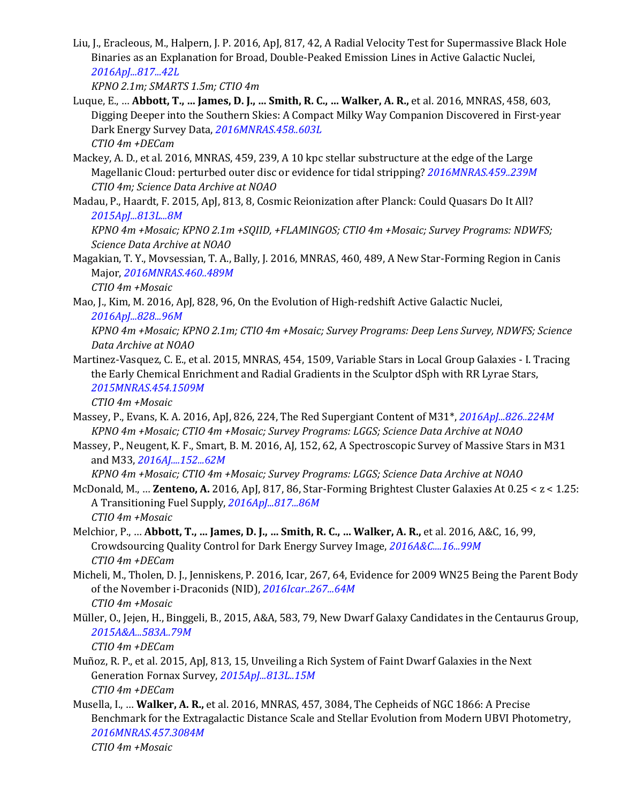Liu, J., Eracleous, M., Halpern, J. P. 2016, ApJ, 817, 42, A Radial Velocity Test for Supermassive Black Hole Binaries as an Explanation for Broad, Double-Peaked Emission Lines in Active Galactic Nuclei, *[2016ApJ...817...42L](http://adsabs.harvard.edu/abs/2016ApJ...817...42L)*

*KPNO 2.1m; SMARTS 1.5m; CTIO 4m*

- Luque, E., … **Abbott, T., … James, D. J., … Smith, R. C., … Walker, A. R.,** et al. 2016, MNRAS, 458, 603, Digging Deeper into the Southern Skies: A Compact Milky Way Companion Discovered in First-year Dark Energy Survey Data, *[2016MNRAS.458..603L](http://adsabs.harvard.edu/abs/2016MNRAS.458..603L) CTIO 4m +DECam*
- Mackey, A. D., et al. 2016, MNRAS, 459, 239, A 10 kpc stellar substructure at the edge of the Large Magellanic Cloud: perturbed outer disc or evidence for tidal stripping? *[2016MNRAS.459..239M](http://adsabs.harvard.edu/abs/2016MNRAS.459..239M) CTIO 4m; Science Data Archive at NOAO*
- Madau, P., Haardt, F. 2015, ApJ, 813, 8, Cosmic Reionization after Planck: Could Quasars Do It All? *[2015ApJ...813L...8M](http://adsabs.harvard.edu/abs/2015ApJ...813L...8M)*

*KPNO 4m +Mosaic; KPNO 2.1m +SQIID, +FLAMINGOS; CTIO 4m +Mosaic; Survey Programs: NDWFS; Science Data Archive at NOAO*

Magakian, T. Y., Movsessian, T. A., Bally, J. 2016, MNRAS, 460, 489, A New Star-Forming Region in Canis Major, *[2016MNRAS.460..489M](http://adsabs.harvard.edu/abs/2016MNRAS.460..489M)*

*CTIO 4m +Mosaic*

Mao, J., Kim, M. 2016, ApJ, 828, 96, On the Evolution of High-redshift Active Galactic Nuclei, *[2016ApJ...828...96M](http://adsabs.harvard.edu/abs/2016ApJ...828...96M)*

*KPNO 4m +Mosaic; KPNO 2.1m; CTIO 4m +Mosaic; Survey Programs: Deep Lens Survey, NDWFS; Science Data Archive at NOAO*

Martinez-Vasquez, C. E., et al. 2015, MNRAS, 454, 1509, Variable Stars in Local Group Galaxies - I. Tracing the Early Chemical Enrichment and Radial Gradients in the Sculptor dSph with RR Lyrae Stars, *[2015MNRAS.454.1509M](http://adsabs.harvard.edu/abs/2015MNRAS.454.1509M)*

*CTIO 4m +Mosaic*

- Massey, P., Evans, K. A. 2016, ApJ, 826, 224, The Red Supergiant Content of M31\*, *[2016ApJ...826..224M](http://adsabs.harvard.edu/abs/2016ApJ...826..224M) KPNO 4m +Mosaic; CTIO 4m +Mosaic; Survey Programs: LGGS; Science Data Archive at NOAO*
- Massey, P., Neugent, K. F., Smart, B. M. 2016, AJ, 152, 62, A Spectroscopic Survey of Massive Stars in M31 and M33, *[2016AJ....152...62M](http://adsabs.harvard.edu/abs/2016AJ....152...62M)*

*KPNO 4m +Mosaic; CTIO 4m +Mosaic; Survey Programs: LGGS; Science Data Archive at NOAO*

- McDonald, M., … **Zenteno, A.** 2016, ApJ, 817, 86, Star-Forming Brightest Cluster Galaxies At 0.25 < z < 1.25: A Transitioning Fuel Supply, *[2016ApJ...817...86M](http://adsabs.harvard.edu/abs/2016ApJ...817...86M) CTIO 4m +Mosaic*
- Melchior, P., … **Abbott, T., … James, D. J., … Smith, R. C., … Walker, A. R.,** et al. 2016, A&C, 16, 99, Crowdsourcing Quality Control for Dark Energy Survey Image, *[2016A&C....16...99M](http://adsabs.harvard.edu/abs/2016A%26C....16...99M) CTIO 4m +DECam*
- Micheli, M., Tholen, D. J., Jenniskens, P. 2016, Icar, 267, 64, Evidence for 2009 WN25 Being the Parent Body of the November i-Draconids (NID), *[2016Icar..267...64M](http://adsabs.harvard.edu/abs/2016Icar..267...64M) CTIO 4m +Mosaic*
- Müller, O., Jejen, H., Binggeli, B., 2015, A&A, 583, 79, New Dwarf Galaxy Candidates in the Centaurus Group, *[2015A&A...583A..79M](http://adsabs.harvard.edu/abs/2015A%26A...583A..79M) CTIO 4m +DECam*
- Muñoz, R. P., et al. 2015, ApJ, 813, 15, Unveiling a Rich System of Faint Dwarf Galaxies in the Next Generation Fornax Survey, *[2015ApJ...813L..15M](http://adsabs.harvard.edu/abs/2015ApJ...813L..15M) CTIO 4m +DECam*
- Musella, I., … **Walker, A. R.,** et al. 2016, MNRAS, 457, 3084, The Cepheids of NGC 1866: A Precise Benchmark for the Extragalactic Distance Scale and Stellar Evolution from Modern UBVI Photometry, *[2016MNRAS.457.3084M](http://adsabs.harvard.edu/abs/2016MNRAS.457.3084M) CTIO 4m +Mosaic*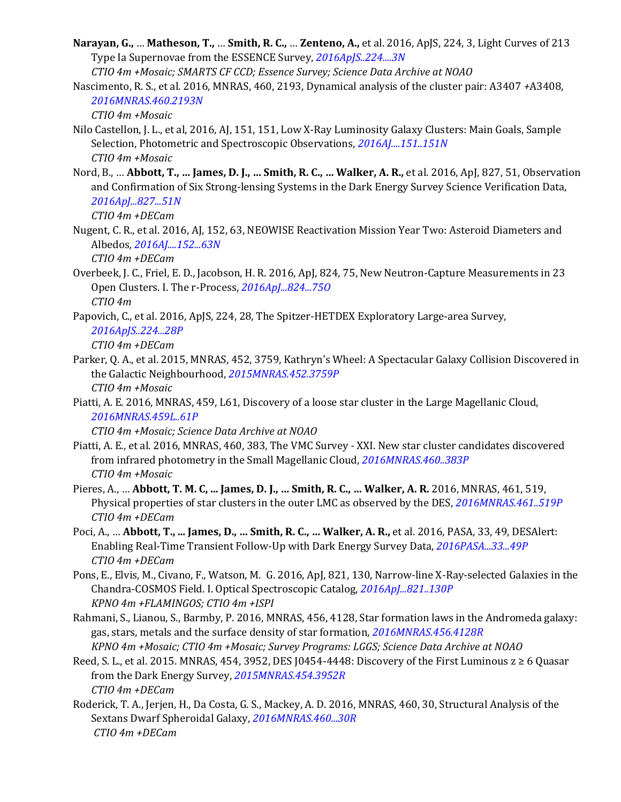**Narayan, G.,** … **Matheson, T.,** … **Smith, R. C.,** … **Zenteno, A.,** et al. 2016, ApJS, 224, 3, Light Curves of 213 Type Ia Supernovae from the ESSENCE Survey, *[2016ApJS..224....3N](http://adsabs.harvard.edu/abs/2016ApJS..224....3N)*

*CTIO 4m +Mosaic; SMARTS CF CCD; Essence Survey; Science Data Archive at NOAO*

Nascimento, R. S., et al. 2016, MNRAS, 460, 2193, Dynamical analysis of the cluster pair: A3407 *+*A3408, *[2016MNRAS.460.2193N](http://adsabs.harvard.edu/abs/2016MNRAS.460.2193N)*

*CTIO 4m +Mosaic*

- Nilo Castellon, J. L., et al, 2016, AJ, 151, 151, Low X-Ray Luminosity Galaxy Clusters: Main Goals, Sample Selection, Photometric and Spectroscopic Observations, *[2016AJ....151..151N](http://adsabs.harvard.edu/abs/2016AJ....151..151N) CTIO 4m +Mosaic*
- Nord, B., … **Abbott, T., … James, D. J., … Smith, R. C., … Walker, A. R.,** et al. 2016, ApJ, 827, 51, Observation and Confirmation of Six Strong-lensing Systems in the Dark Energy Survey Science Verification Data, *[2016ApJ...827...51N](http://adsabs.harvard.edu/abs/2016ApJ...827...51N)*

*CTIO 4m +DECam*

Nugent, C. R., et al. 2016, AJ, 152, 63, NEOWISE Reactivation Mission Year Two: Asteroid Diameters and Albedos*[, 2016AJ....152...63N](http://adsabs.harvard.edu/abs/2016AJ....152...63N)*

*CTIO 4m +DECam*

- Overbeek, J. C., Friel, E. D., Jacobson, H. R. 2016, ApJ, 824, 75, New Neutron-Capture Measurements in 23 Open Clusters. I. The r-Process, *[2016ApJ...824...75O](http://adsabs.harvard.edu/abs/2016ApJ...824...75O) CTIO 4m*
- Papovich, C., et al. 2016, ApJS, 224, 28, The Spitzer-HETDEX Exploratory Large-area Survey,

*[2016ApJS..224...28P](http://adsabs.harvard.edu/abs/2016ApJS..224...28P)*

*CTIO 4m +DECam*

- Parker, Q. A., et al. 2015, MNRAS, 452, 3759, Kathryn's Wheel: A Spectacular Galaxy Collision Discovered in the Galactic Neighbourhood, *[2015MNRAS.452.3759P](http://adsabs.harvard.edu/abs/2015MNRAS.452.3759P) CTIO 4m +Mosaic*
- Piatti, A. E. 2016, MNRAS, 459, L61, Discovery of a loose star cluster in the Large Magellanic Cloud, *[2016MNRAS.459L..61P](http://adsabs.harvard.edu/abs/2016MNRAS.459L..61P)*

*CTIO 4m +Mosaic; Science Data Archive at NOAO*

- Piatti, A. E., et al. 2016, MNRAS, 460, 383, The VMC Survey XXI. New star cluster candidates discovered from infrared photometry in the Small Magellanic Cloud, *[2016MNRAS.460..383P](http://adsabs.harvard.edu/abs/2016MNRAS.460..383P) CTIO 4m +Mosaic*
- Pieres, A., … **Abbott, T. M. C, ... James, D. J., … Smith, R. C., … Walker, A. R.** 2016, MNRAS, 461, 519, Physical properties of star clusters in the outer LMC as observed by the DES, *[2016MNRAS.461..519P](http://adsabs.harvard.edu/abs/2016MNRAS.461..519P) CTIO 4m +DECam*
- Poci, A., … **Abbott, T., ... James, D., … Smith, R. C., … Walker, A. R.,** et al. 2016, PASA, 33, 49, DESAlert: Enabling Real-Time Transient Follow-Up with Dark Energy Survey Data, *[2016PASA...33...49P](http://adsabs.harvard.edu/abs/2016PASA...33...49P) CTIO 4m +DECam*
- Pons, E., Elvis, M., Civano, F., Watson, M. G. 2016, ApJ, 821, 130, Narrow-line X-Ray-selected Galaxies in the Chandra-COSMOS Field. I. Optical Spectroscopic Catalog, *[2016ApJ...821..130P](http://adsabs.harvard.edu/abs/2016ApJ...821..130P) KPNO 4m +FLAMINGOS; CTIO 4m +ISPI*
- Rahmani, S., Lianou, S., Barmby, P. 2016, MNRAS, 456, 4128, Star formation laws in the Andromeda galaxy: gas, stars, metals and the surface density of star formation, *[2016MNRAS.456.4128R](http://adsabs.harvard.edu/abs/2016MNRAS.456.4128R) KPNO 4m +Mosaic; CTIO 4m +Mosaic; Survey Programs: LGGS; Science Data Archive at NOAO*
- Reed, S. L., et al. 2015. MNRAS, 454, 3952, DES J0454-4448: Discovery of the First Luminous  $z \ge 6$  Quasar from the Dark Energy Survey, *[2015MNRAS.454.3952R](http://adsabs.harvard.edu/abs/2015MNRAS.454.3952R) CTIO 4m +DECam*
- Roderick, T. A., Jerjen, H., Da Costa, G. S., Mackey, A. D. 2016, MNRAS, 460, 30, Structural Analysis of the Sextans Dwarf Spheroidal Galaxy, *[2016MNRAS.460...30R](http://adsabs.harvard.edu/abs/2016MNRAS.460...30R) CTIO 4m +DECam*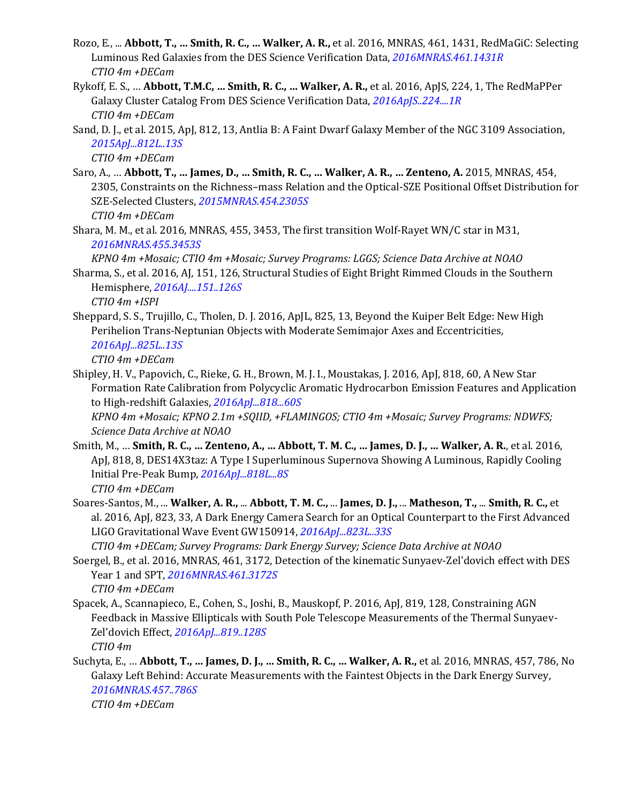- Rozo, E., ... **Abbott, T., … Smith, R. C., … Walker, A. R.,** et al. 2016, MNRAS, 461, 1431, RedMaGiC: Selecting Luminous Red Galaxies from the DES Science Verification Data, *[2016MNRAS.461.1431R](http://adsabs.harvard.edu/abs/2016MNRAS.461.1431R) CTIO 4m +DECam*
- Rykoff, E. S., … **Abbott, T.M.C, … Smith, R. C., … Walker, A. R.,** et al. 2016, ApJS, 224, 1, The RedMaPPer Galaxy Cluster Catalog From DES Science Verification Data, *[2016ApJS..224....1R](http://adsabs.harvard.edu/abs/2016ApJS..224....1R) CTIO 4m +DECam*
- Sand, D. J., et al. 2015, ApJ, 812, 13, Antlia B: A Faint Dwarf Galaxy Member of the NGC 3109 Association, *[2015ApJ...812L..13S](http://adsabs.harvard.edu/abs/2015ApJ...812L..13S)*

*CTIO 4m +DECam*

- Saro, A., … **Abbott, T., … James, D., … Smith, R. C., … Walker, A. R., … Zenteno, A.** 2015, MNRAS, 454, 2305, Constraints on the Richness–mass Relation and the Optical-SZE Positional Offset Distribution for SZE-Selected Clusters, *[2015MNRAS.454.2305S](http://adsabs.harvard.edu/abs/2015MNRAS.454.2305S) CTIO 4m +DECam*
- Shara, M. M., et al. 2016, MNRAS, 455, 3453, The first transition Wolf-Rayet WN/C star in M31, *[2016MNRAS.455.3453S](http://adsabs.harvard.edu/abs/2016MNRAS.455.3453S)*

*KPNO 4m +Mosaic; CTIO 4m +Mosaic; Survey Programs: LGGS; Science Data Archive at NOAO*

- Sharma, S., et al. 2016, AJ, 151, 126, Structural Studies of Eight Bright Rimmed Clouds in the Southern Hemisphere, *[2016AJ....151..126S](http://adsabs.harvard.edu/abs/2016AJ....151..126S) CTIO 4m +ISPI*
- Sheppard, S. S., Trujillo, C., Tholen, D. J. 2016, ApJL, 825, 13, Beyond the Kuiper Belt Edge: New High Perihelion Trans-Neptunian Objects with Moderate Semimajor Axes and Eccentricities, *[2016ApJ...825L..13S](http://adsabs.harvard.edu/abs/2016ApJ...825L..13S)*

*CTIO 4m +DECam*

Shipley, H. V., Papovich, C., Rieke, G. H., Brown, M. J. I., Moustakas, J. 2016, ApJ, 818, 60, A New Star Formation Rate Calibration from Polycyclic Aromatic Hydrocarbon Emission Features and Application to High-redshift Galaxies, *[2016ApJ...818...60S](http://adsabs.harvard.edu/abs/2016ApJ...818...60S)*

*KPNO 4m +Mosaic; KPNO 2.1m +SQIID, +FLAMINGOS; CTIO 4m +Mosaic; Survey Programs: NDWFS; Science Data Archive at NOAO*

- Smith, M., … **Smith, R. C., … Zenteno, A., … Abbott, T. M. C., … James, D. J., … Walker, A. R.**, et al. 2016, ApJ, 818, 8, DES14X3taz: A Type I Superluminous Supernova Showing A Luminous, Rapidly Cooling Initial Pre-Peak Bump, *[2016ApJ...818L...8S](http://adsabs.harvard.edu/abs/2016ApJ...818L...8S) CTIO 4m +DECam*
- Soares-Santos, M., ... **Walker, A. R.,** ... **Abbott, T. M. C.,** ... **James, D. J.,** ... **Matheson, T.,** ... **Smith, R. C.,** et al. 2016, ApJ, 823, 33, A Dark Energy Camera Search for an Optical Counterpart to the First Advanced LIGO Gravitational Wave Event GW150914, *[2016ApJ...823L..33S](http://adsabs.harvard.edu/abs/2016ApJ...823L..33S)*

*CTIO 4m +DECam; Survey Programs: Dark Energy Survey; Science Data Archive at NOAO*

- Soergel, B., et al. 2016, MNRAS, 461, 3172, Detection of the kinematic Sunyaev-Zel'dovich effect with DES Year 1 and SPT, *[2016MNRAS.461.3172S](http://adsabs.harvard.edu/abs/2016MNRAS.461.3172S) CTIO 4m +DECam*
- Spacek, A., Scannapieco, E., Cohen, S., Joshi, B., Mauskopf, P. 2016, ApJ, 819, 128, Constraining AGN Feedback in Massive Ellipticals with South Pole Telescope Measurements of the Thermal Sunyaev-Zel'dovich Effect, *[2016ApJ...819..128S](http://adsabs.harvard.edu/abs/2016ApJ...819..128S) CTIO 4m*
- Suchyta, E., … **Abbott, T., … James, D. J., … Smith, R. C., … Walker, A. R.,** et al. 2016, MNRAS, 457, 786, No Galaxy Left Behind: Accurate Measurements with the Faintest Objects in the Dark Energy Survey, *[2016MNRAS.457..786S](http://adsabs.harvard.edu/abs/2016MNRAS.457..786S)*

*CTIO 4m +DECam*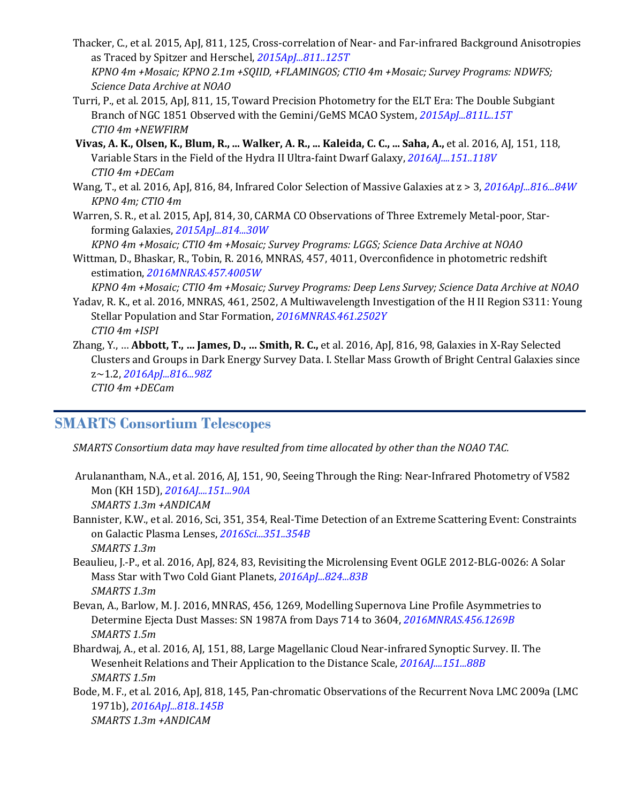- Thacker, C., et al. 2015, ApJ, 811, 125, Cross-correlation of Near- and Far-infrared Background Anisotropies as Traced by Spitzer and Herschel, *[2015ApJ...811..125T](http://adsabs.harvard.edu/abs/2015ApJ...811..125T) KPNO 4m +Mosaic; KPNO 2.1m +SQIID, +FLAMINGOS; CTIO 4m +Mosaic; Survey Programs: NDWFS; Science Data Archive at NOAO*
- Turri, P., et al. 2015, ApJ, 811, 15, Toward Precision Photometry for the ELT Era: The Double Subgiant Branch of NGC 1851 Observed with the Gemini/GeMS MCAO System, *[2015ApJ...811L..15T](http://adsabs.harvard.edu/abs/2015ApJ...811L..15T) CTIO 4m +NEWFIRM*
- **Vivas, A. K., Olsen, K., Blum, R., ... Walker, A. R., ... Kaleida, C. C., ... Saha, A.,** et al. 2016, AJ, 151, 118, Variable Stars in the Field of the Hydra II Ultra-faint Dwarf Galaxy, *[2016AJ....151..118V](http://adsabs.harvard.edu/abs/2016AJ....151..118V) CTIO 4m +DECam*
- Wang, T., et al. 2016, ApJ, 816, 84, Infrared Color Selection of Massive Galaxies at z > 3, *[2016ApJ...816...84W](http://adsabs.harvard.edu/abs/2016ApJ...816...84W) KPNO 4m; CTIO 4m*
- Warren, S. R., et al. 2015, ApJ, 814, 30, CARMA CO Observations of Three Extremely Metal-poor, Starforming Galaxies, *[2015ApJ...814...30W](http://adsabs.harvard.edu/abs/2015ApJ...814...30W)*

*KPNO 4m +Mosaic; CTIO 4m +Mosaic; Survey Programs: LGGS; Science Data Archive at NOAO*

Wittman, D., Bhaskar, R., Tobin, R. 2016, MNRAS, 457, 4011, Overconfidence in photometric redshift estimation, *[2016MNRAS.457.4005W](http://adsabs.harvard.edu/abs/2016MNRAS.457.4005W)*

*KPNO 4m +Mosaic; CTIO 4m +Mosaic; Survey Programs: Deep Lens Survey; Science Data Archive at NOAO*

- Yadav, R. K., et al. 2016, MNRAS, 461, 2502, A Multiwavelength Investigation of the H II Region S311: Young Stellar Population and Star Formation, *[2016MNRAS.461.2502Y](http://adsabs.harvard.edu/abs/2016MNRAS.461.2502Y) CTIO 4m +ISPI*
- Zhang, Y., … **Abbott, T., … James, D., … Smith, R. C.,** et al. 2016, ApJ, 816, 98, Galaxies in X-Ray Selected Clusters and Groups in Dark Energy Survey Data. I. Stellar Mass Growth of Bright Central Galaxies since z~1.2, *[2016ApJ...816...98Z](http://adsabs.harvard.edu/abs/2016ApJ...816...98Z) CTIO 4m +DECam*

#### **SMARTS Consortium Telescopes**

*SMARTS Consortium data may have resulted from time allocated by other than the NOAO TAC.*

- Arulanantham, N.A., et al. 2016, AJ, 151, 90, Seeing Through the Ring: Near-Infrared Photometry of V582 Mon (KH 15D), *[2016AJ....151...90A](http://adsabs.harvard.edu/abs/2016AJ....151...90A) SMARTS 1.3m +ANDICAM*
- Bannister, K.W., et al. 2016, Sci, 351, 354, Real-Time Detection of an Extreme Scattering Event: Constraints on Galactic Plasma Lenses, *[2016Sci...351..354B](http://adsabs.harvard.edu/abs/2016Sci...351..354B) SMARTS 1.3m*
- Beaulieu, J.-P., et al. 2016, ApJ, 824, 83, Revisiting the Microlensing Event OGLE 2012-BLG-0026: A Solar Mass Star with Two Cold Giant Planets, *[2016ApJ...824...83B](http://adsabs.harvard.edu/abs/2016ApJ...824...83B) SMARTS 1.3m*
- Bevan, A., Barlow, M. J. 2016, MNRAS, 456, 1269, Modelling Supernova Line Profile Asymmetries to Determine Ejecta Dust Masses: SN 1987A from Days 714 to 3604, *[2016MNRAS.456.1269B](http://adsabs.harvard.edu/abs/2016MNRAS.456.1269B) SMARTS 1.5m*
- Bhardwaj, A., et al. 2016, AJ, 151, 88, Large Magellanic Cloud Near-infrared Synoptic Survey. II. The Wesenheit Relations and Their Application to the Distance Scale, *[2016AJ....151...88B](http://adsabs.harvard.edu/abs/2016AJ....151...88B) SMARTS 1.5m*
- Bode, M. F., et al. 2016, ApJ, 818, 145, Pan-chromatic Observations of the Recurrent Nova LMC 2009a (LMC 1971b), *[2016ApJ...818..145B](http://adsabs.harvard.edu/abs/2016ApJ...818..145B) SMARTS 1.3m +ANDICAM*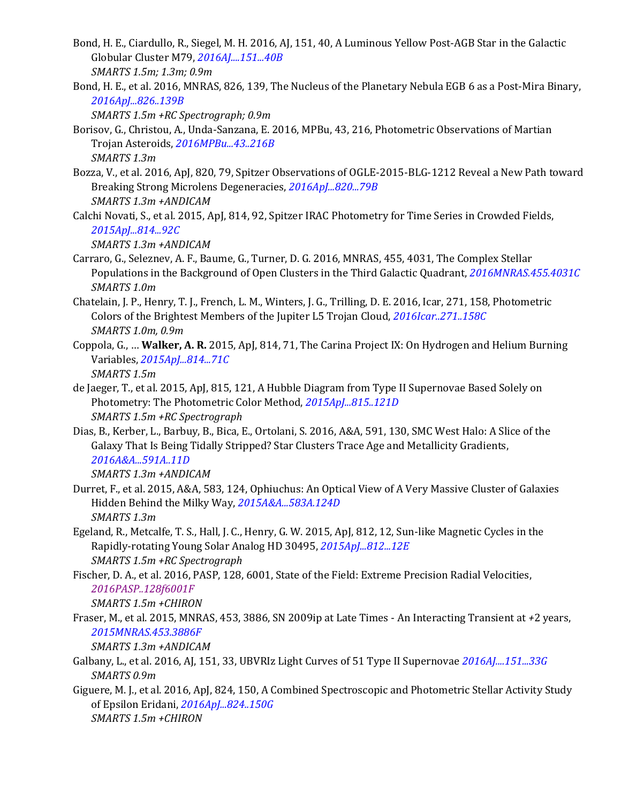- Bond, H. E., Ciardullo, R., Siegel, M. H. 2016, AJ, 151, 40, A Luminous Yellow Post-AGB Star in the Galactic Globular Cluster M79, *[2016AJ....151...40B](http://adsabs.harvard.edu/abs/2016AJ....151...45E) SMARTS 1.5m; 1.3m; 0.9m*
- Bond, H. E., et al. 2016, MNRAS, 826, 139, The Nucleus of the Planetary Nebula EGB 6 as a Post-Mira Binary, *[2016ApJ...826..139B](http://adsabs.harvard.edu/abs/2016ApJ...826..139B)*

*SMARTS 1.5m +RC Spectrograph; 0.9m*

- Borisov, G., Christou, A., Unda-Sanzana, E. 2016, MPBu, 43, 216, Photometric Observations of Martian Trojan Asteroids, *[2016MPBu...43..216B](http://adsabs.harvard.edu/abs/2016MPBu...43..216B) SMARTS 1.3m*
- Bozza, V., et al. 2016, ApJ, 820, 79, Spitzer Observations of OGLE-2015-BLG-1212 Reveal a New Path toward Breaking Strong Microlens Degeneracies, *[2016ApJ...820...79B](http://adsabs.harvard.edu/abs/2016ApJ...820...79B) SMARTS 1.3m +ANDICAM*
- Calchi Novati, S., et al. 2015, ApJ, 814, 92, Spitzer IRAC Photometry for Time Series in Crowded Fields, *[2015ApJ...814...92C](http://adsabs.harvard.edu/abs/2015ApJ...814...92C)*

*SMARTS 1.3m +ANDICAM*

- Carraro, G., Seleznev, A. F., Baume, G., Turner, D. G. 2016, MNRAS, 455, 4031, The Complex Stellar Populations in the Background of Open Clusters in the Third Galactic Quadrant, *[2016MNRAS.455.4031C](http://adsabs.harvard.edu/abs/2016MNRAS.455.4031C) SMARTS 1.0m*
- Chatelain, J. P., Henry, T. J., French, L. M., Winters, J. G., Trilling, D. E. 2016, Icar, 271, 158, Photometric Colors of the Brightest Members of the Jupiter L5 Trojan Cloud, *[2016Icar..271..158C](http://adsabs.harvard.edu/abs/2016Icar..271..158C) SMARTS 1.0m, 0.9m*
- Coppola, G., … **Walker, A. R.** 2015, ApJ, 814, 71, The Carina Project IX: On Hydrogen and Helium Burning Variables, *[2015ApJ...814...71C](http://adsabs.harvard.edu/abs/2015ApJ...814...71C)*

*SMARTS 1.5m*

- de Jaeger, T., et al. 2015, ApJ, 815, 121, A Hubble Diagram from Type II Supernovae Based Solely on Photometry: The Photometric Color Method, *[2015ApJ...815..121D](http://adsabs.harvard.edu/abs/2015ApJ...815..121D) SMARTS 1.5m +RC Spectrograph*
- Dias, B., Kerber, L., Barbuy, B., Bica, E., Ortolani, S. 2016, A&A, 591, 130, SMC West Halo: A Slice of the Galaxy That Is Being Tidally Stripped? Star Clusters Trace Age and Metallicity Gradients, *[2016A&A...591A..11D](http://adsabs.harvard.edu/abs/2016A%26A...591A..11D)*

*SMARTS 1.3m +ANDICAM*

- Durret, F., et al. 2015, A&A, 583, 124, Ophiuchus: An Optical View of A Very Massive Cluster of Galaxies Hidden Behind the Milky Way, *[2015A&A...583A.124D](http://adsabs.harvard.edu/abs/2015A%26A...583A.124D) SMARTS 1.3m*
- Egeland, R., Metcalfe, T. S., Hall, J. C., Henry, G. W. 2015, ApJ, 812, 12, Sun-like Magnetic Cycles in the Rapidly-rotating Young Solar Analog HD 30495, *[2015ApJ...812...12E](http://adsabs.harvard.edu/abs/2015ApJ...812...12E) SMARTS 1.5m +RC Spectrograph*
- Fischer, D. A., et al. 2016, PASP, 128, 6001, State of the Field: Extreme Precision Radial Velocities, *[2016PASP..128f6001F](http://adsabs.harvard.edu/abs/2016PASP..128f6001F)*

*SMARTS 1.5m +CHIRON*

Fraser, M., et al. 2015, MNRAS, 453, 3886, SN 2009ip at Late Times - An Interacting Transient at *+*2 years, *[2015MNRAS.453.3886F](http://adsabs.harvard.edu/abs/2015MNRAS.453.3886F)*

*SMARTS 1.3m +ANDICAM*

- Galbany, L., et al. 2016, AJ, 151, 33, UBVRIz Light Curves of 51 Type II Supernovae *[2016AJ....151...33G](http://adsabs.harvard.edu/abs/2016AJ....151...33G) SMARTS 0.9m*
- Giguere, M. J., et al. 2016, ApJ, 824, 150, A Combined Spectroscopic and Photometric Stellar Activity Study of Epsilon Eridani, *[2016ApJ...824..150G](http://adsabs.harvard.edu/abs/2016ApJ...824..150G) SMARTS 1.5m +CHIRON*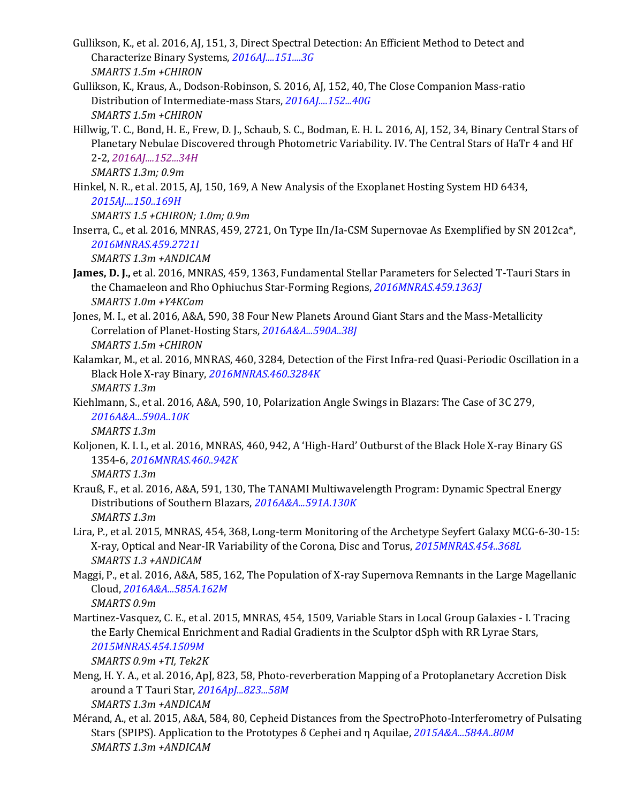- Gullikson, K., et al. 2016, AJ, 151, 3, Direct Spectral Detection: An Efficient Method to Detect and Characterize Binary Systems, *[2016AJ....151....3G](http://adsabs.harvard.edu/abs/2016AJ....151....3G) SMARTS 1.5m +CHIRON*
- Gullikson, K., Kraus, A., Dodson-Robinson, S. 2016, AJ, 152, 40, The Close Companion Mass-ratio Distribution of Intermediate-mass Stars, *[2016AJ....152...40G](http://adsabs.harvard.edu/abs/2016AJ....152...40G) SMARTS 1.5m +CHIRON*
- Hillwig, T. C., Bond, H. E., Frew, D. J., Schaub, S. C., Bodman, E. H. L. 2016, AJ, 152, 34, Binary Central Stars of Planetary Nebulae Discovered through Photometric Variability. IV. The Central Stars of HaTr 4 and Hf 2-2, *[2016AJ....152...34H](http://adsabs.harvard.edu/abs/2016AJ....152...34H)*

*SMARTS 1.3m; 0.9m*

Hinkel, N. R., et al. 2015, AJ, 150, 169, A New Analysis of the Exoplanet Hosting System HD 6434, *[2015AJ....150..169H](http://adsabs.harvard.edu/abs/2015AJ....150..169H)*

*SMARTS 1.5 +CHIRON; 1.0m; 0.9m*

Inserra, C., et al. 2016, MNRAS, 459, 2721, On Type IIn/Ia-CSM Supernovae As Exemplified by SN 2012ca\*, *[2016MNRAS.459.2721I](http://adsabs.harvard.edu/abs/2016MNRAS.459.2721I)*

*SMARTS 1.3m +ANDICAM*

- **James, D. J.,** et al. 2016, MNRAS, 459, 1363, Fundamental Stellar Parameters for Selected T-Tauri Stars in the Chamaeleon and Rho Ophiuchus Star-Forming Regions, *[2016MNRAS.459.1363J](http://adsabs.harvard.edu/abs/2016MNRAS.459.1363J) SMARTS 1.0m +Y4KCam*
- Jones, M. I., et al. 2016, A&A, 590, 38 Four New Planets Around Giant Stars and the Mass-Metallicity Correlation of Planet-Hosting Stars, *[2016A&A...590A..38J](http://adsabs.harvard.edu/abs/2016A%26A...590A..38J) SMARTS 1.5m +CHIRON*
- Kalamkar, M., et al. 2016, MNRAS, 460, 3284, Detection of the First Infra-red Quasi-Periodic Oscillation in a Black Hole X-ray Binary, *[2016MNRAS.460.3284K](http://adsabs.harvard.edu/abs/2016MNRAS.460.3284K) SMARTS 1.3m*
- Kiehlmann, S., et al. 2016, A&A, 590, 10, Polarization Angle Swings in Blazars: The Case of 3C 279, *[2016A&A...590A..10K](http://adsabs.harvard.edu/abs/2016A%26A...590A..10K)*

*SMARTS 1.3m*

Koljonen, K. I. I., et al. 2016, MNRAS, 460, 942, A 'High-Hard' Outburst of the Black Hole X-ray Binary GS 1354-6, *[2016MNRAS.460..942K](http://adsabs.harvard.edu/abs/2016MNRAS.460..942K)*

*SMARTS 1.3m*

- Krauß, F., et al. 2016, A&A, 591, 130, The TANAMI Multiwavelength Program: Dynamic Spectral Energy Distributions of Southern Blazars, *[2016A&A...591A.130K](http://adsabs.harvard.edu/abs/2016A%26A...591A.130K) SMARTS 1.3m*
- Lira, P., et al. 2015, MNRAS, 454, 368, Long-term Monitoring of the Archetype Seyfert Galaxy MCG-6-30-15: X-ray, Optical and Near-IR Variability of the Corona, Disc and Torus, *[2015MNRAS.454..368L](http://adsabs.harvard.edu/abs/2015MNRAS.454..368L) SMARTS 1.3 +ANDICAM*
- Maggi, P., et al. 2016, A&A, 585, 162, The Population of X-ray Supernova Remnants in the Large Magellanic Cloud, *[2016A&A...585A.162M](http://adsabs.harvard.edu/abs/2016A%26A...585A.162M)*

*SMARTS 0.9m*

Martinez-Vasquez, C. E., et al. 2015, MNRAS, 454, 1509, Variable Stars in Local Group Galaxies - I. Tracing the Early Chemical Enrichment and Radial Gradients in the Sculptor dSph with RR Lyrae Stars, *[2015MNRAS.454.1509M](http://adsabs.harvard.edu/abs/2015MNRAS.454.1509M)*

*SMARTS 0.9m +TI, Tek2K*

- Meng, H. Y. A., et al. 2016, ApJ, 823, 58, Photo-reverberation Mapping of a Protoplanetary Accretion Disk around a T Tauri Star, *[2016ApJ...823...58M](http://adsabs.harvard.edu/abs/2016ApJ...823...58M) SMARTS 1.3m +ANDICAM*
- Mérand, A., et al. 2015, A&A, 584, 80, Cepheid Distances from the SpectroPhoto-Interferometry of Pulsating Stars (SPIPS). Application to the Prototypes δ Cephei and η Aquilae, *[2015A&A...584A..80M](http://adsabs.harvard.edu/abs/2015A%26A...584A..80M) SMARTS 1.3m +ANDICAM*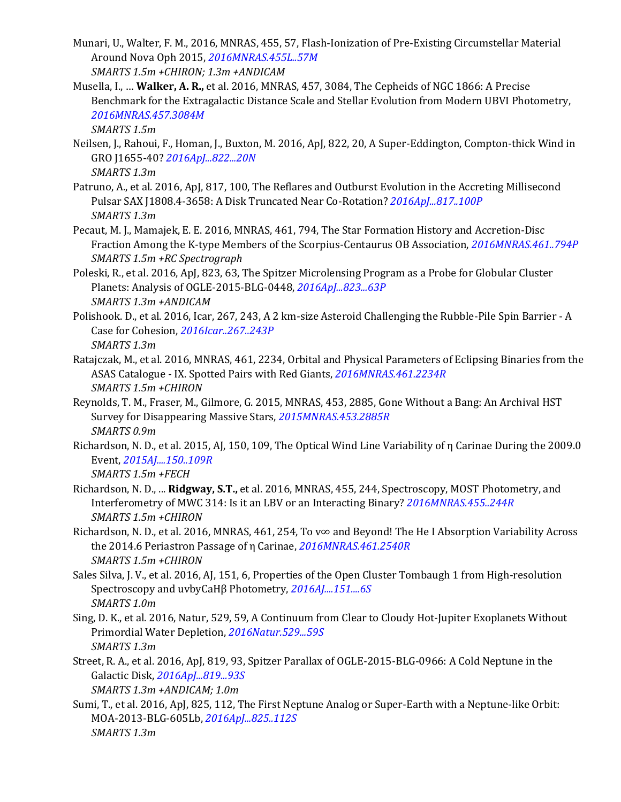- Munari, U., Walter, F. M., 2016, MNRAS, 455, 57, Flash-Ionization of Pre-Existing Circumstellar Material Around Nova Oph 2015, *[2016MNRAS.455L..57M](http://adsabs.harvard.edu/abs/2016MNRAS.455L..57M) SMARTS 1.5m +CHIRON; 1.3m +ANDICAM*
- Musella, I., … **Walker, A. R.,** et al. 2016, MNRAS, 457, 3084, The Cepheids of NGC 1866: A Precise Benchmark for the Extragalactic Distance Scale and Stellar Evolution from Modern UBVI Photometry, *[2016MNRAS.457.3084M](http://adsabs.harvard.edu/abs/2016MNRAS.457.3084M)*

*SMARTS 1.5m*

- Neilsen, J., Rahoui, F., Homan, J., Buxton, M. 2016, ApJ, 822, 20, A Super-Eddington, Compton-thick Wind in GRO J1655-40? *[2016ApJ...822...20N](http://adsabs.harvard.edu/abs/2016ApJ...822...20N) SMARTS 1.3m*
- Patruno, A., et al. 2016, ApJ, 817, 100, The Reflares and Outburst Evolution in the Accreting Millisecond Pulsar SAX J1808.4-3658: A Disk Truncated Near Co-Rotation? *[2016ApJ...817..100P](http://adsabs.harvard.edu/abs/2016ApJ...817..100P) SMARTS 1.3m*
- Pecaut, M. J., Mamajek, E. E. 2016, MNRAS, 461, 794, The Star Formation History and Accretion-Disc Fraction Among the K-type Members of the Scorpius-Centaurus OB Association, *[2016MNRAS.461..794P](http://adsabs.harvard.edu/abs/2016MNRAS.461..794P) SMARTS 1.5m +RC Spectrograph*
- Poleski, R., et al. 2016, ApJ, 823, 63, The Spitzer Microlensing Program as a Probe for Globular Cluster Planets: Analysis of OGLE-2015-BLG-0448, *[2016ApJ...823...63P](http://adsabs.harvard.edu/abs/2016ApJ...823...63P) SMARTS 1.3m +ANDICAM*
- Polishook. D., et al. 2016, Icar, 267, 243, A 2 km-size Asteroid Challenging the Rubble-Pile Spin Barrier A Case for Cohesion, *[2016Icar..267..243P](http://adsabs.harvard.edu/abs/2016Icar..267..243P) SMARTS 1.3m*
- Ratajczak, M., et al. 2016, MNRAS, 461, 2234, Orbital and Physical Parameters of Eclipsing Binaries from the ASAS Catalogue - IX. Spotted Pairs with Red Giants, *[2016MNRAS.461.2234R](http://adsabs.harvard.edu/abs/2016MNRAS.461.2234R) SMARTS 1.5m +CHIRON*
- Reynolds, T. M., Fraser, M., Gilmore, G. 2015, MNRAS, 453, 2885, Gone Without a Bang: An Archival HST Survey for Disappearing Massive Stars, *[2015MNRAS.453.2885R](http://adsabs.harvard.edu/abs/2015MNRAS.453.2885R) SMARTS 0.9m*
- Richardson, N. D., et al. 2015, AJ, 150, 109, The Optical Wind Line Variability of η Carinae During the 2009.0 Event, *[2015AJ....150..109R](http://adsabs.harvard.edu/abs/2015AJ....150..109R) SMARTS 1.5m +FECH*
- Richardson, N. D., ... **Ridgway, S.T.,** et al. 2016, MNRAS, 455, 244, Spectroscopy, MOST Photometry, and Interferometry of MWC 314: Is it an LBV or an Interacting Binary? *[2016MNRAS.455..244R](http://adsabs.harvard.edu/abs/2016MNRAS.455..244R) SMARTS 1.5m +CHIRON*
- Richardson, N. D., et al. 2016, MNRAS, 461, 254, To v∞ and Beyond! The He I Absorption Variability Across the 2014.6 Periastron Passage of η Carinae, *[2016MNRAS.461.2540R](http://adsabs.harvard.edu/abs/2016MNRAS.461.2540R) SMARTS 1.5m +CHIRON*
- Sales Silva, J. V., et al. 2016, AJ, 151, 6, Properties of the Open Cluster Tombaugh 1 from High-resolution Spectroscopy and uvbyCaHβ Photometry, *[2016AJ....151....6S](http://adsabs.harvard.edu/abs/2016AJ....151....6S) SMARTS 1.0m*
- Sing, D. K., et al. 2016, Natur, 529, 59, A Continuum from Clear to Cloudy Hot-Jupiter Exoplanets Without Primordial Water Depletion, *[2016Natur.529...59S](http://adsabs.harvard.edu/abs/2016Natur.529...59S) SMARTS 1.3m*
- Street, R. A., et al. 2016, ApJ, 819, 93, Spitzer Parallax of OGLE-2015-BLG-0966: A Cold Neptune in the Galactic Disk, *[2016ApJ...819...93S](http://adsabs.harvard.edu/abs/2016ApJ...819...93S)*

*SMARTS 1.3m +ANDICAM; 1.0m*

Sumi, T., et al. 2016, ApJ, 825, 112, The First Neptune Analog or Super-Earth with a Neptune-like Orbit: MOA-2013-BLG-605Lb, *[2016ApJ...825..112S](http://adsabs.harvard.edu/abs/2016ApJ...825..112S) SMARTS 1.3m*